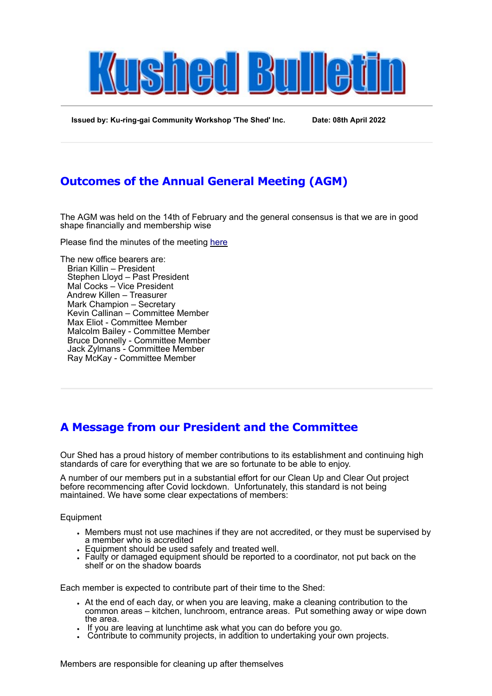

**Issued by: Ku-ring-gai Community Workshop 'The Shed' Inc. Date: 08th April 2022**

## **Outcomes of the Annual General Meeting (AGM)**

The AGM was held on the 14th of February and the general consensus is that we are in good shape financially and membership wise

Please find the minutes of the meeting [here](https://mcusercontent.com/de37976e53800c64f9d9628b6/files/654e941d-cb7e-5120-2c7f-85ff6932d5f8/2022_AGM_Minutes.docx)

The new office bearers are: Brian Killin – President Stephen Lloyd – Past President Mal Cocks – Vice President Andrew Killen – Treasurer Mark Champion – Secretary Kevin Callinan – Committee Member Max Eliot - Committee Member Malcolm Bailey - Committee Member Bruce Donnelly - Committee Member Jack Zylmans - Committee Member Ray McKay - Committee Member

# **A Message from our President and the Committee**

Our Shed has a proud history of member contributions to its establishment and continuing high standards of care for everything that we are so fortunate to be able to enjoy.

A number of our members put in a substantial effort for our Clean Up and Clear Out project before recommencing after Covid lockdown. Unfortunately, this standard is not being maintained. We have some clear expectations of members:

**Equipment** 

- Members must not use machines if they are not accredited, or they must be supervised by a member who is accredited
- Equipment should be used safely and treated well.
- Faulty or damaged equipment should be reported to a coordinator, not put back on the shelf or on the shadow boards

Each member is expected to contribute part of their time to the Shed:

- At the end of each day, or when you are leaving, make a cleaning contribution to the common areas – kitchen, lunchroom, entrance areas. Put something away or wipe down the area.
- . If you are leaving at lunchtime ask what you can do before you go.
- Contribute to community projects, in addition to undertaking your own projects.

Members are responsible for cleaning up after themselves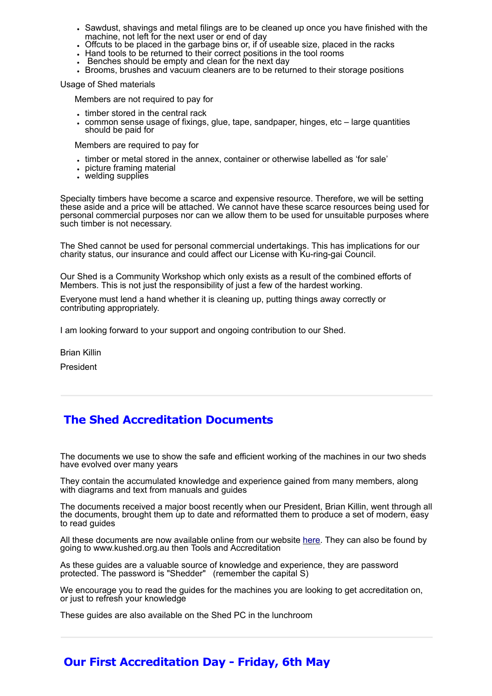- Sawdust, shavings and metal filings are to be cleaned up once you have finished with the machine, not left for the next user or end of day
- Offcuts to be placed in the garbage bins or, if of useable size, placed in the racks
- Hand tools to be returned to their correct positions in the tool rooms
- Benches should be empty and clean for the next day
- Brooms, brushes and vacuum cleaners are to be returned to their storage positions

Usage of Shed materials

Members are not required to pay for

- timber stored in the central rack
- common sense usage of fixings, glue, tape, sandpaper, hinges, etc large quantities should be paid for

Members are required to pay for

- timber or metal stored in the annex, container or otherwise labelled as 'for sale'
- picture framing material
- welding supplies

Specialty timbers have become a scarce and expensive resource. Therefore, we will be setting these aside and a price will be attached. We cannot have these scarce resources being used for personal commercial purposes nor can we allow them to be used for unsuitable purposes where such timber is not necessary.

The Shed cannot be used for personal commercial undertakings. This has implications for our charity status, our insurance and could affect our License with Ku-ring-gai Council.

Our Shed is a Community Workshop which only exists as a result of the combined efforts of Members. This is not just the responsibility of just a few of the hardest working.

Everyone must lend a hand whether it is cleaning up, putting things away correctly or contributing appropriately.

I am looking forward to your support and ongoing contribution to our Shed.

Brian Killin

President

### **The Shed Accreditation Documents**

The documents we use to show the safe and efficient working of the machines in our two sheds have evolved over many years

They contain the accumulated knowledge and experience gained from many members, along with diagrams and text from manuals and guides

The documents received a major boost recently when our President, Brian Killin, went through all the documents, brought them up to date and reformatted them to produce a set of modern, easy to read guides

All these documents are now available online from our website [here.](http://www.kushed.org.au/Accreditation_Signon.html) They can also be found by going to www.kushed.org.au then Tools and Accreditation

As these guides are a valuable source of knowledge and experience, they are password protected. The password is "Shedder" (remember the capital S)

We encourage you to read the guides for the machines you are looking to get accreditation on, or just to refresh your knowledge

These guides are also available on the Shed PC in the lunchroom

#### **Our First Accreditation Day - Friday, 6th May**